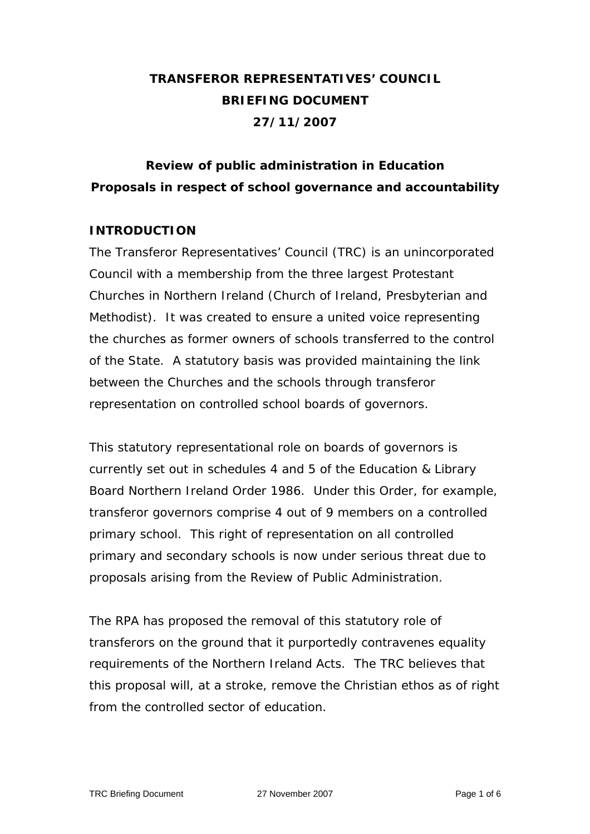# **TRANSFEROR REPRESENTATIVES' COUNCIL BRIEFING DOCUMENT 27/11/2007**

## **Review of public administration in Education Proposals in respect of school governance and accountability**

## **INTRODUCTION**

The Transferor Representatives' Council (TRC) is an unincorporated Council with a membership from the three largest Protestant Churches in Northern Ireland (Church of Ireland, Presbyterian and Methodist). It was created to ensure a united voice representing the churches as former owners of schools transferred to the control of the State. A statutory basis was provided maintaining the link between the Churches and the schools through transferor representation on controlled school boards of governors.

This statutory representational role on boards of governors is currently set out in schedules 4 and 5 of the Education & Library Board Northern Ireland Order 1986. Under this Order, for example, transferor governors comprise 4 out of 9 members on a controlled primary school. This right of representation on all controlled primary and secondary schools is now under serious threat due to proposals arising from the Review of Public Administration.

The RPA has proposed the removal of this statutory role of transferors on the ground that it purportedly contravenes equality requirements of the Northern Ireland Acts. The TRC believes that this proposal will, at a stroke, remove the Christian ethos as of right from the controlled sector of education.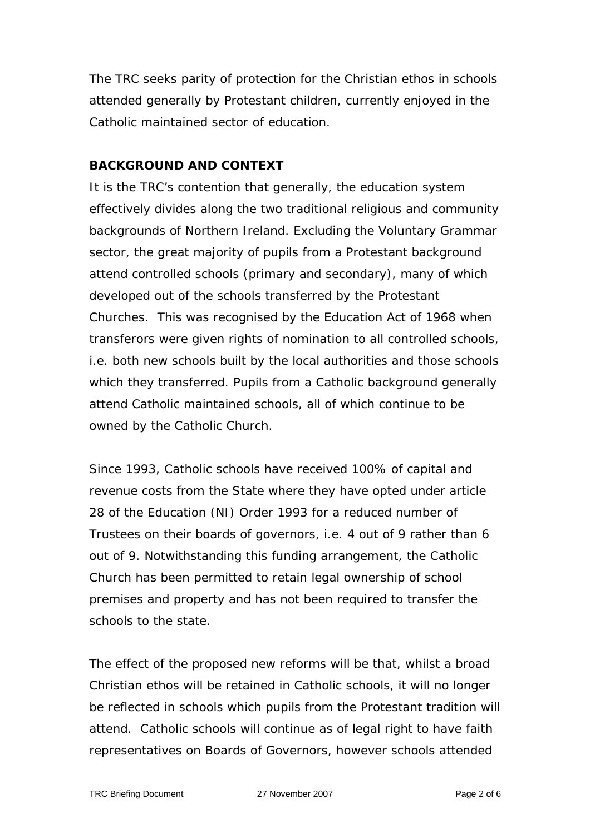The TRC seeks parity of protection for the Christian ethos in schools attended generally by Protestant children, currently enjoyed in the Catholic maintained sector of education.

#### **BACKGROUND AND CONTEXT**

It is the TRC's contention that generally, the education system effectively divides along the two traditional religious and community backgrounds of Northern Ireland. Excluding the Voluntary Grammar sector, the great majority of pupils from a Protestant background attend controlled schools (primary and secondary), many of which developed out of the schools transferred by the Protestant Churches. This was recognised by the Education Act of 1968 when transferors were given rights of nomination to all controlled schools, i.e. both new schools built by the local authorities and those schools which they transferred. Pupils from a Catholic background generally attend Catholic maintained schools, all of which continue to be owned by the Catholic Church.

Since 1993, Catholic schools have received 100% of capital and revenue costs from the State where they have opted under article 28 of the Education (NI) Order 1993 for a reduced number of Trustees on their boards of governors, i.e. 4 out of 9 rather than 6 out of 9. Notwithstanding this funding arrangement, the Catholic Church has been permitted to retain legal ownership of school premises and property and has not been required to transfer the schools to the state.

The effect of the proposed new reforms will be that, whilst a broad Christian ethos will be retained in Catholic schools, it will no longer be reflected in schools which pupils from the Protestant tradition will attend. Catholic schools will continue as of legal right to have faith representatives on Boards of Governors, however schools attended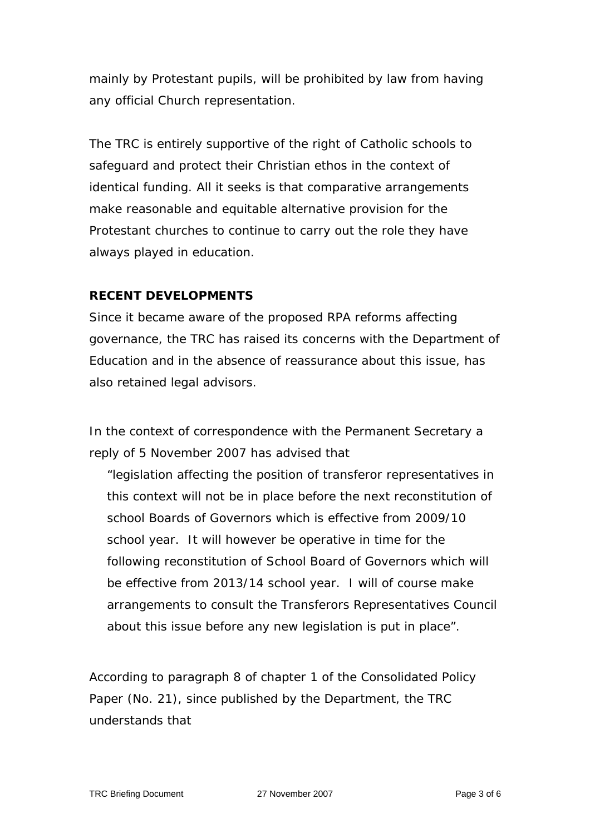mainly by Protestant pupils, will be prohibited by law from having any official Church representation.

The TRC is entirely supportive of the right of Catholic schools to safeguard and protect their Christian ethos in the context of identical funding. All it seeks is that comparative arrangements make reasonable and equitable alternative provision for the Protestant churches to continue to carry out the role they have always played in education.

## **RECENT DEVELOPMENTS**

Since it became aware of the proposed RPA reforms affecting governance, the TRC has raised its concerns with the Department of Education and in the absence of reassurance about this issue, has also retained legal advisors.

In the context of correspondence with the Permanent Secretary a reply of 5 November 2007 has advised that

*"legislation affecting the position of transferor representatives in this context will not be in place before the next reconstitution of school Boards of Governors which is effective from 2009/10 school year. It will however be operative in time for the following reconstitution of School Board of Governors which will be effective from 2013/14 school year. I will of course make arrangements to consult the Transferors Representatives Council about this issue before any new legislation is put in place".* 

According to paragraph 8 of chapter 1 of the Consolidated Policy Paper (No. 21), since published by the Department, the TRC understands that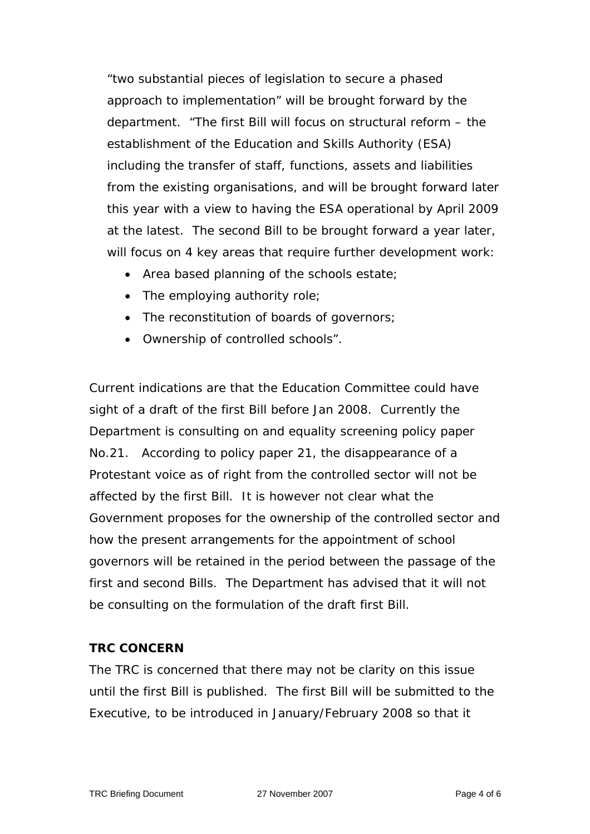*"two substantial pieces of legislation to secure a phased approach to implementation" will be brought forward by the department. "The first Bill will focus on structural reform – the establishment of the Education and Skills Authority (ESA) including the transfer of staff, functions, assets and liabilities from the existing organisations, and will be brought forward later this year with a view to having the ESA operational by April 2009 at the latest. The second Bill to be brought forward a year later, will focus on 4 key areas that require further development work:* 

- *Area based planning of the schools estate;*
- *The employing authority role;*
- *The reconstitution of boards of governors;*
- *Ownership of controlled schools".*

Current indications are that the Education Committee could have sight of a draft of the first Bill before Jan 2008. Currently the Department is consulting on and equality screening policy paper No.21. According to policy paper 21, the disappearance of a Protestant voice as of right from the controlled sector will not be affected by the first Bill. It is however not clear what the Government proposes for the ownership of the controlled sector and how the present arrangements for the appointment of school governors will be retained in the period between the passage of the first and second Bills. The Department has advised that it will not be consulting on the formulation of the draft first Bill.

## **TRC CONCERN**

The TRC is concerned that there may not be clarity on this issue until the first Bill is published. The first Bill will be submitted to the Executive, to be introduced in January/February 2008 so that it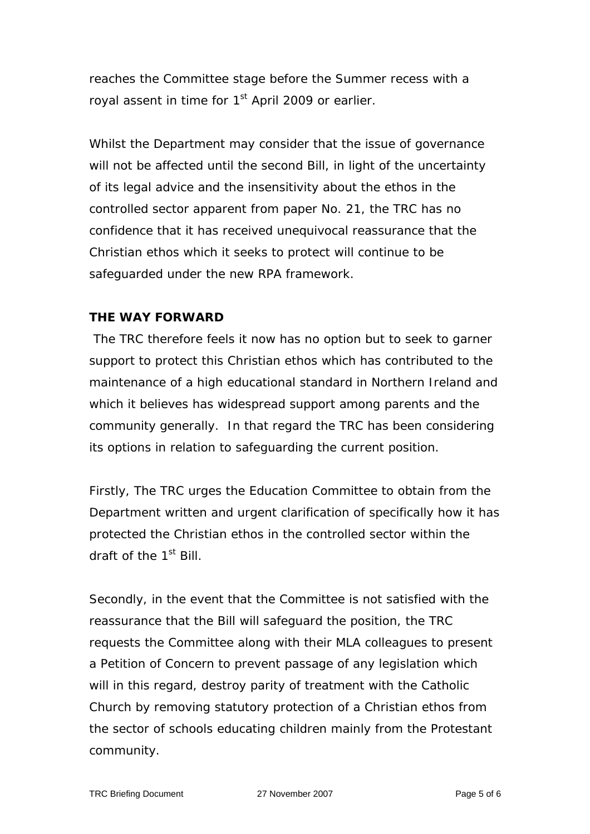reaches the Committee stage before the Summer recess with a royal assent in time for 1<sup>st</sup> April 2009 or earlier.

Whilst the Department may consider that the issue of governance will not be affected until the second Bill, in light of the uncertainty of its legal advice and the insensitivity about the ethos in the controlled sector apparent from paper No. 21, the TRC has no confidence that it has received unequivocal reassurance that the Christian ethos which it seeks to protect will continue to be safeguarded under the new RPA framework.

#### **THE WAY FORWARD**

 The TRC therefore feels it now has no option but to seek to garner support to protect this Christian ethos which has contributed to the maintenance of a high educational standard in Northern Ireland and which it believes has widespread support among parents and the community generally. In that regard the TRC has been considering its options in relation to safeguarding the current position.

Firstly, The TRC urges the Education Committee to obtain from the Department written and urgent clarification of specifically how it has protected the Christian ethos in the controlled sector within the draft of the 1<sup>st</sup> Bill.

Secondly, in the event that the Committee is not satisfied with the reassurance that the Bill will safeguard the position, the TRC requests the Committee along with their MLA colleagues to present a Petition of Concern to prevent passage of any legislation which will in this regard, destroy parity of treatment with the Catholic Church by removing statutory protection of a Christian ethos from the sector of schools educating children mainly from the Protestant community.